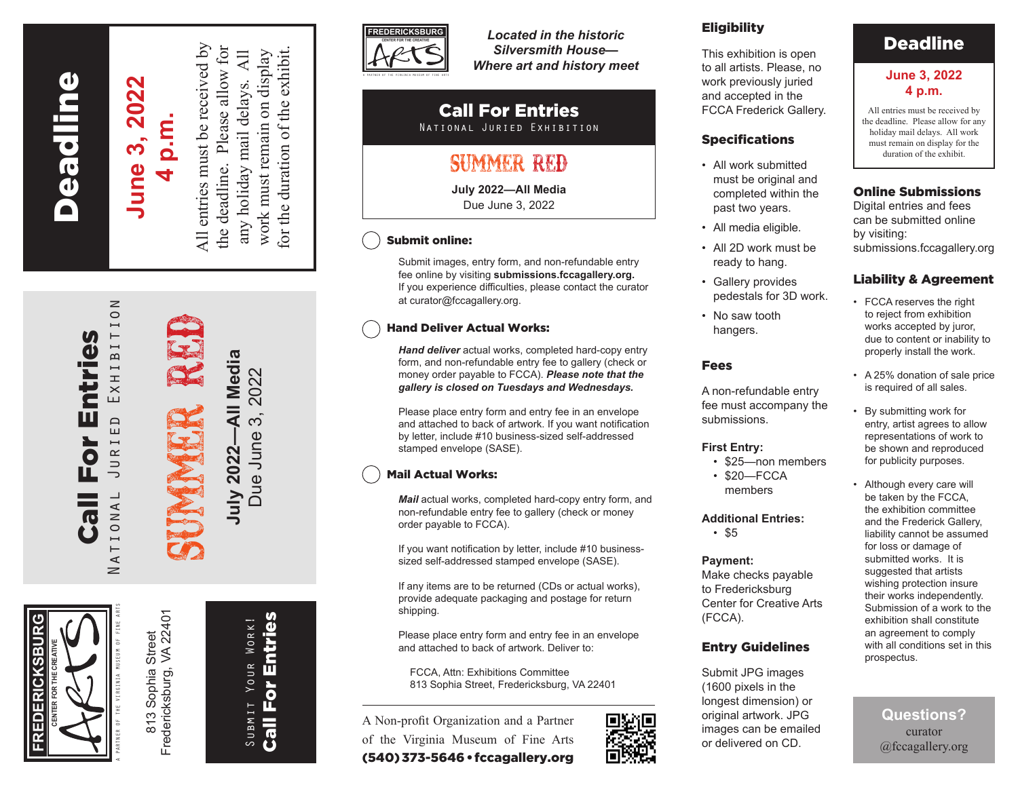# **Peadline** Fredericksburg Deadline

## **June 3, 2022 June 3, 2022 4 p.m.**

All entries must be received by All entries must be received by the deadline. Please allow for for the duration of the exhibit. the deadline. Please allow for work must remain on display  $\overline{A}$ any holiday mail delays. All work must remain on display for the duration of the exhibit.

any holiday mail delays.

SUMMER RED Media **July 2022—All Media** 2022 Due June 3, 2022 $\overline{a}$ က် Due June July 2022-

> Submit Your Work! Call For Entries

SUBMIT

YOUR WORK!

**Call For Entries** 

A PARTNER OF THE VIRGINIA MUSEUM OF FINE ARTS National Juried Exhibition

Call For Entries

For

Entries

 $\overline{0}$  $\overline{1}$ 

EXHIBI

 $\begin{array}{c}\n\Box\n\end{array}$ 

JURI

IONA

 $\vdash$  $\prec$ Ż

**FREDERICKSBURG**

EDERICKSBUR

**CENTER FOR THE CREATIVE**

Fredericksburg, VA 22401 Fredericksburg, VA 22401 Sophia Street 813 Sophia Street  $813$ 



*Located in the historic Silversmith House— Where art and history meet*

#### Call For Entries National Juried Exhibition

## Summer Red

**July 2022—All Media** Due June 3, 2022

#### Submit online:

Submit images, entry form, and non-refundable entry fee online by visiting **submissions.fccagallery.org.** If you experience difficulties, please contact the curator at curator@fccagallery.org.

#### Hand Deliver Actual Works:

*Hand deliver* actual works, completed hard-copy entry form, and non-refundable entry fee to gallery (check or money order payable to FCCA). *Please note that the gallery is closed on Tuesdays and Wednesdays.*

Please place entry form and entry fee in an envelope and attached to back of artwork. If you want notification by letter, include #10 business-sized self-addressed stamped envelope (SASE).

#### Mail Actual Works:

*Mail* actual works, completed hard-copy entry form, and non-refundable entry fee to gallery (check or money order payable to FCCA).

If you want notification by letter, include #10 businesssized self-addressed stamped envelope (SASE).

If any items are to be returned (CDs or actual works), provide adequate packaging and postage for return shipping.

Please place entry form and entry fee in an envelope and attached to back of artwork. Deliver to:

FCCA, Attn: Exhibitions Committee 813 Sophia Street, Fredericksburg, VA 22401

A Non-profit Organization and a Partner of the Virginia Museum of Fine Arts (540) 373-5646 • fccagallery.org



#### **Eligibility**

This exhibition is open to all artists. Please, no work previously juried and accepted in the FCCA Frederick Gallery.

#### Specifications

- All work submitted must be original and completed within the past two years.
- All media eligible.
- All 2D work must be ready to hang.
- Gallery provides pedestals for 3D work.
- No saw tooth hangers.

#### Fees

A non-refundable entry fee must accompany the submissions.

#### **First Entry:**

- \$25—non members
- \$20—FCCA members

#### **Additional Entries:**

• \$5

#### **Payment:**

Make checks payable to Fredericksburg Center for Creative Arts (FCCA).

#### Entry Guidelines

Submit JPG images (1600 pixels in the longest dimension) or original artwork. JPG images can be emailed or delivered on CD.

### Deadline

#### **June 3, 2022 4 p.m.**

All entries must be received by the deadline. Please allow for any holiday mail delays. All work must remain on display for the duration of the exhibit.

#### Online Submissions

Digital entries and fees can be submitted online by visiting: submissions.fccagallery.org

#### Liability & Agreement

- FCCA reserves the right to reject from exhibition works accepted by juror, due to content or inability to properly install the work.
- A 25% donation of sale price is required of all sales.
- By submitting work for entry, artist agrees to allow representations of work to be shown and reproduced for publicity purposes.
- Although every care will be taken by the FCCA, the exhibition committee and the Frederick Gallery, liability cannot be assumed for loss or damage of submitted works. It is suggested that artists wishing protection insure their works independently. Submission of a work to the exhibition shall constitute an agreement to comply with all conditions set in this prospectus.

**Questions?**  curator @fccagallery.org